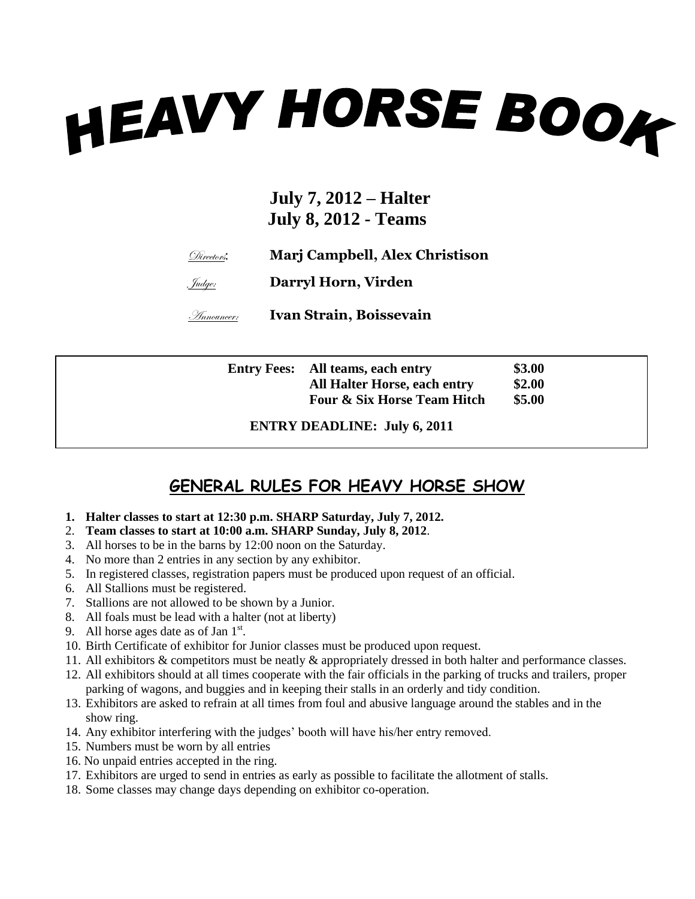# **HEAVY HORSE BOOK**

#### **July 7, 2012 – Halter July 8, 2012 - Teams**

Directors: **Marj Campbell, Alex Christison**

Judge: **Darryl Horn, Virden**

Announcer: **Ivan Strain, Boissevain**

| <b>Entry Fees:</b> All teams, each entry | \$3.00 |
|------------------------------------------|--------|
| <b>All Halter Horse, each entry</b>      | \$2.00 |
| <b>Four &amp; Six Horse Team Hitch</b>   | \$5.00 |

**ENTRY DEADLINE: July 6, 2011**

#### **GENERAL RULES FOR HEAVY HORSE SHOW**

- **1. Halter classes to start at 12:30 p.m. SHARP Saturday, July 7, 2012.**
- 2. **Team classes to start at 10:00 a.m. SHARP Sunday, July 8, 2012**.
- 3. All horses to be in the barns by 12:00 noon on the Saturday.
- 4. No more than 2 entries in any section by any exhibitor.
- 5. In registered classes, registration papers must be produced upon request of an official.
- 6. All Stallions must be registered.
- 7. Stallions are not allowed to be shown by a Junior.
- 8. All foals must be lead with a halter (not at liberty)
- 9. All horse ages date as of Jan  $1<sup>st</sup>$ .
- 10. Birth Certificate of exhibitor for Junior classes must be produced upon request.
- 11. All exhibitors & competitors must be neatly & appropriately dressed in both halter and performance classes.
- 12. All exhibitors should at all times cooperate with the fair officials in the parking of trucks and trailers, proper parking of wagons, and buggies and in keeping their stalls in an orderly and tidy condition.
- 13. Exhibitors are asked to refrain at all times from foul and abusive language around the stables and in the show ring.
- 14. Any exhibitor interfering with the judges' booth will have his/her entry removed.
- 15. Numbers must be worn by all entries
- 16. No unpaid entries accepted in the ring.
- 17. Exhibitors are urged to send in entries as early as possible to facilitate the allotment of stalls.
- 18. Some classes may change days depending on exhibitor co-operation.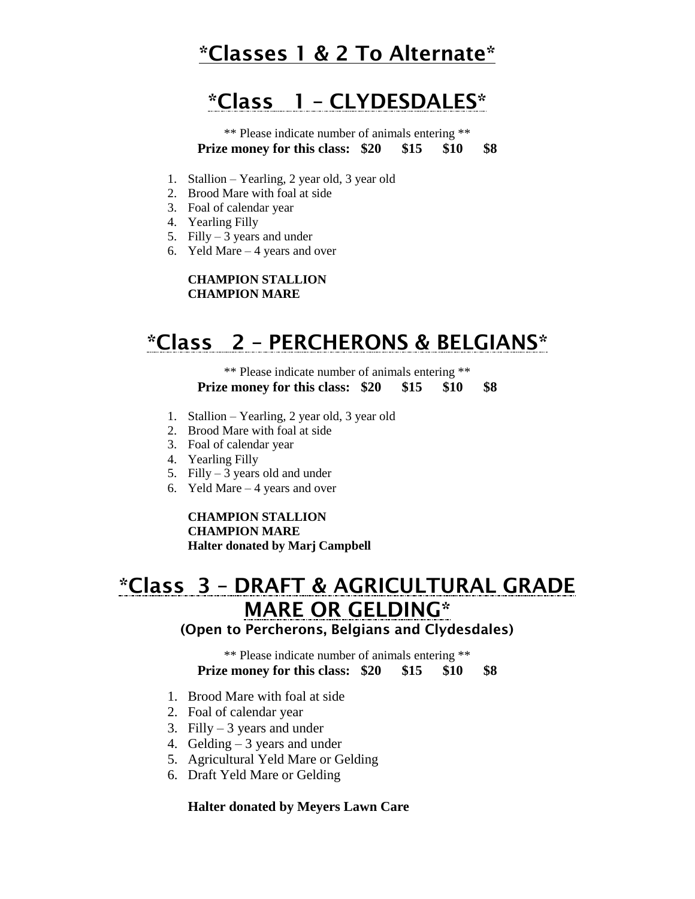# **\*Classes 1 & 2 To Alternate\***

# **\*Class 1 – CLYDESDALES\***

\*\* Please indicate number of animals entering \*\* **Prize money for this class: \$20 \$15 \$10 \$8**

- 1. Stallion Yearling, 2 year old, 3 year old
- 2. Brood Mare with foal at side
- 3. Foal of calendar year
- 4. Yearling Filly
- 5. Filly  $-3$  years and under
- 6. Yeld Mare 4 years and over

#### **CHAMPION STALLION CHAMPION MARE**

# **\*Class 2 – PERCHERONS & BELGIANS\***

\*\* Please indicate number of animals entering \*\* **Prize money for this class: \$20 \$15 \$10 \$8**

- 1. Stallion Yearling, 2 year old, 3 year old
- 2. Brood Mare with foal at side
- 3. Foal of calendar year
- 4. Yearling Filly
- 5. Filly  $-3$  years old and under
- 6. Yeld Mare 4 years and over

#### **CHAMPION STALLION**

**CHAMPION MARE**

**Halter donated by Marj Campbell**

# **\*Class 3 – DRAFT & AGRICULTURAL GRADE MARE OR GELDING\***

#### **(Open to Percherons, Belgians and Clydesdales)**

\*\* Please indicate number of animals entering \*\* **Prize money for this class: \$20 \$15 \$10 \$8**

- 1. Brood Mare with foal at side
- 2. Foal of calendar year
- 3. Filly  $-3$  years and under
- 4. Gelding  $-3$  years and under
- 5. Agricultural Yeld Mare or Gelding
- 6. Draft Yeld Mare or Gelding

#### **Halter donated by Meyers Lawn Care**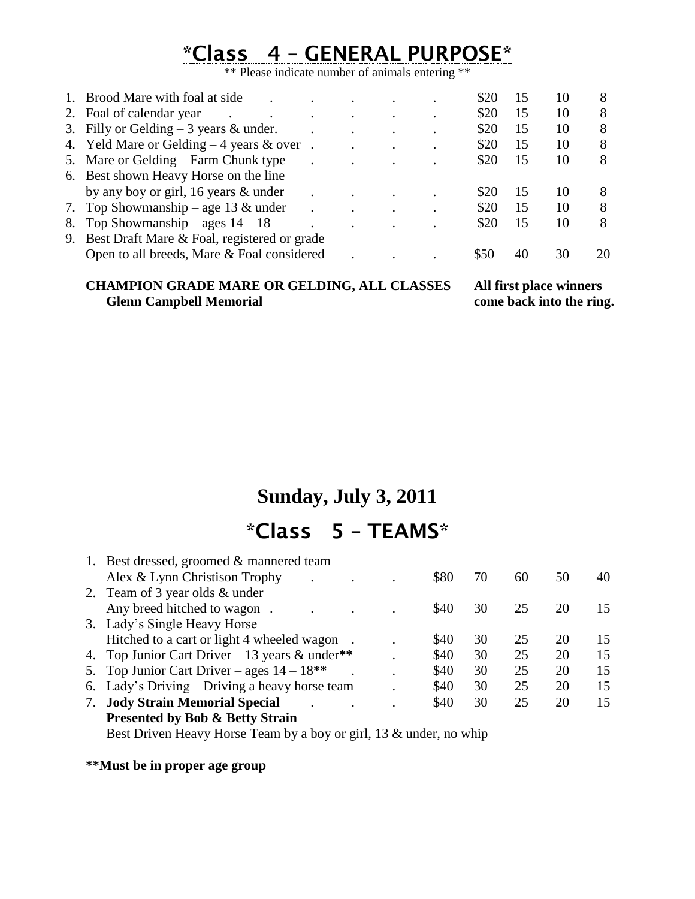# **\*Class 4 – GENERAL PURPOSE\***

\*\* Please indicate number of animals entering \*\*

| 1. Brood Mare with foal at side                |  |  | \$20 | 15 | 10 | 8  |
|------------------------------------------------|--|--|------|----|----|----|
| 2. Foal of calendar year                       |  |  | \$20 | 15 | 10 | 8  |
| 3. Filly or Gelding $-3$ years & under.        |  |  | \$20 | 15 | 10 | 8  |
| 4. Yeld Mare or Gelding $-4$ years & over.     |  |  | \$20 | 15 | 10 | 8  |
| 5. Mare or Gelding – Farm Chunk type           |  |  | \$20 | 15 | 10 | 8  |
| 6. Best shown Heavy Horse on the line          |  |  |      |    |    |    |
| by any boy or girl, 16 years $&$ under         |  |  | \$20 | 15 | 10 | 8  |
| 7. Top Showmanship – age 13 $&$ under          |  |  | \$20 | 15 | 10 | 8  |
| 8. Top Showmanship – ages $14 - 18$            |  |  | \$20 | 15 | 10 | 8  |
| 9. Best Draft Mare & Foal, registered or grade |  |  |      |    |    |    |
| Open to all breeds, Mare & Foal considered     |  |  |      | 40 | 30 | 20 |
|                                                |  |  |      |    |    |    |

#### **CHAMPION GRADE MARE OR GELDING, ALL CLASSES All first place winners Glenn Campbell Memorial**

### **Sunday, July 3, 2011**

# **\*Class 5 – TEAMS\***

| 1. Best dressed, groomed & mannered team                           |             |    |    |    |    |
|--------------------------------------------------------------------|-------------|----|----|----|----|
| Alex & Lynn Christison Trophy                                      | \$80        | 70 | 60 | 50 | 40 |
| 2. Team of 3 year olds & under                                     |             |    |    |    |    |
| Any breed hitched to wagon.                                        | \$40        | 30 | 25 | 20 | 15 |
| 3. Lady's Single Heavy Horse                                       |             |    |    |    |    |
| Hitched to a cart or light 4 wheeled wagon                         | <b>\$40</b> | 30 | 25 | 20 | 15 |
| 4. Top Junior Cart Driver – 13 years & under**                     | \$40        | 30 | 25 | 20 | 15 |
| 5. Top Junior Cart Driver – ages $14 - 18$ **                      | \$40        | 30 | 25 | 20 | 15 |
| 6. Lady's Driving – Driving a heavy horse team                     | \$40        | 30 | 25 | 20 | 15 |
| 7. Jody Strain Memorial Special                                    | \$40        | 30 | 25 | 20 | 15 |
| <b>Presented by Bob &amp; Betty Strain</b>                         |             |    |    |    |    |
| Best Driven Heavy Horse Team by a boy or girl, 13 & under, no whip |             |    |    |    |    |

**\*\*Must be in proper age group**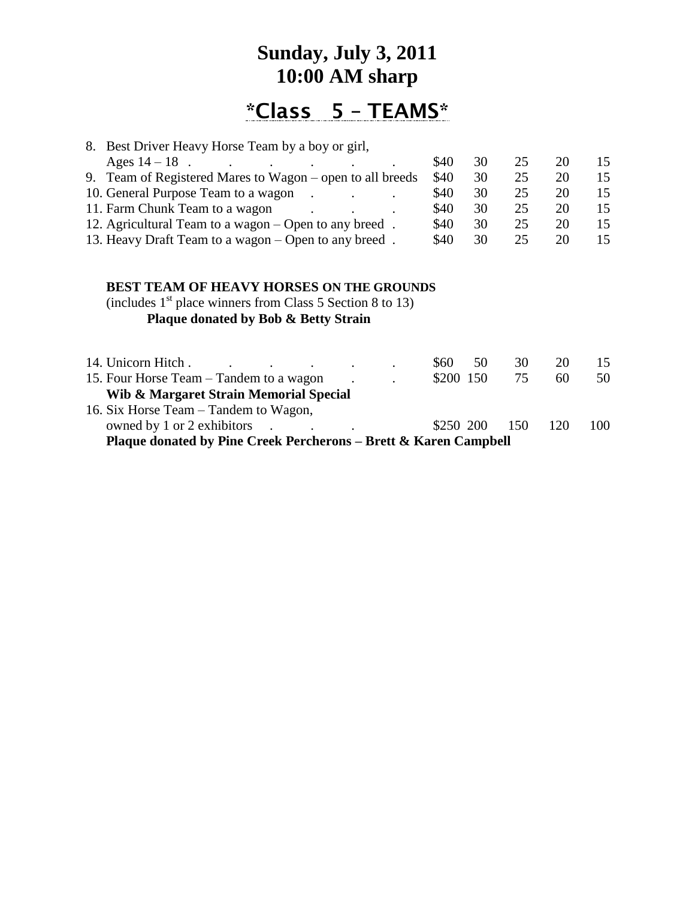# **Sunday, July 3, 2011 10:00 AM sharp**

# **\*Class 5 – TEAMS\***

| 8. Best Driver Heavy Horse Team by a boy or girl,                                                                                                                                                                                                                                                                                                |       |     |    |    |    |
|--------------------------------------------------------------------------------------------------------------------------------------------------------------------------------------------------------------------------------------------------------------------------------------------------------------------------------------------------|-------|-----|----|----|----|
| Ages $14 - 18$                                                                                                                                                                                                                                                                                                                                   | \$40  | 30  | 25 | 20 | 15 |
| 9. Team of Registered Mares to Wagon – open to all breeds                                                                                                                                                                                                                                                                                        | \$40  | 30  | 25 | 20 | 15 |
| 10. General Purpose Team to a wagon.                                                                                                                                                                                                                                                                                                             | \$40  | 30  | 25 | 20 | 15 |
| 11. Farm Chunk Team to a wagon                                                                                                                                                                                                                                                                                                                   | \$40  | 30  | 25 | 20 | 15 |
| 12. Agricultural Team to a wagon – Open to any breed.                                                                                                                                                                                                                                                                                            | \$40  | 30  | 25 | 20 | 15 |
| 13. Heavy Draft Team to a wagon – Open to any breed.                                                                                                                                                                                                                                                                                             | \$40  | 30  | 25 | 20 | 15 |
| <b>BEST TEAM OF HEAVY HORSES ON THE GROUNDS</b><br>(includes $1st$ place winners from Class 5 Section 8 to 13)<br><b>Plaque donated by Bob &amp; Betty Strain</b>                                                                                                                                                                                |       |     |    |    |    |
| 14. Unicorn Hitch.                                                                                                                                                                                                                                                                                                                               | \$60  | 50  | 30 | 20 | 15 |
| 15. Four Horse Team – Tandem to a wagon<br>$\mathbf{W}^{(1)}$ on $\mathbf{M}$ of $\mathbf{M}$ is $\mathbf{M}$ in $\mathbf{M}$ in $\mathbf{M}$ is $\mathbf{M}$ in $\mathbf{M}$ in $\mathbf{M}$ is $\mathbf{M}$ in $\mathbf{M}$ in $\mathbf{M}$ is $\mathbf{M}$ in $\mathbf{M}$ in $\mathbf{M}$ is $\mathbf{M}$ in $\mathbf{M}$ in $\mathbf{M}$ is | \$200 | 150 | 75 | 60 | 50 |

**Wib & Margaret Strain Memorial Special** 16. Six Horse Team – Tandem to Wagon, owned by 1 or 2 exhibitors . . . . . . . . \$250 200 150 120 100 **Plaque donated by Pine Creek Percherons – Brett & Karen Campbell**